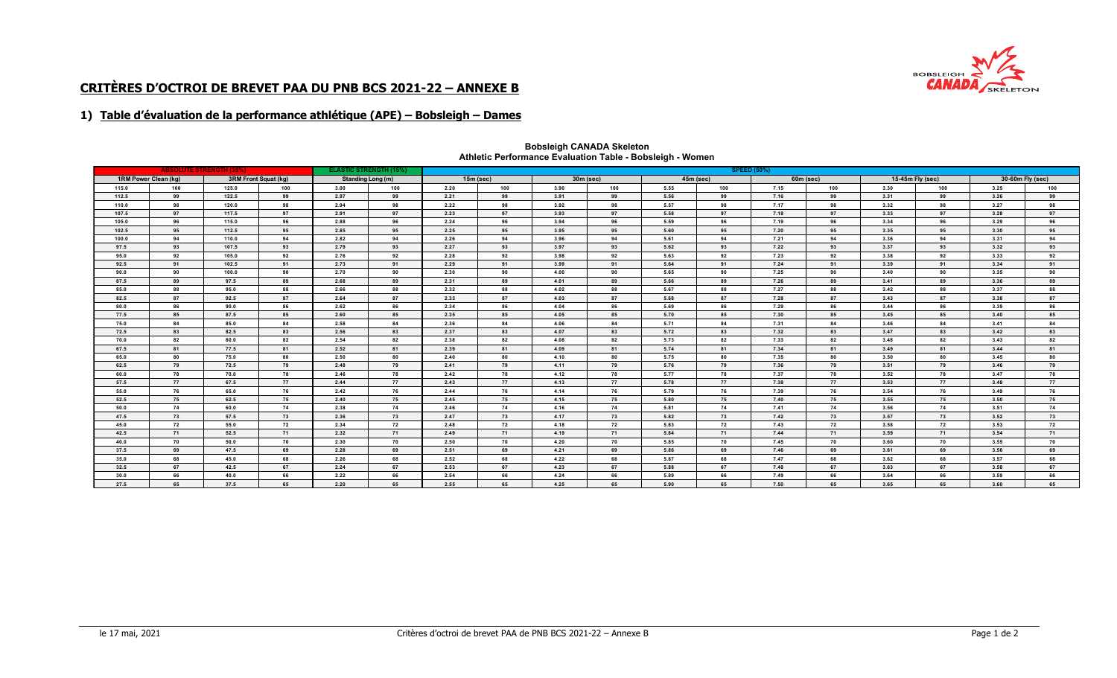

# **CRITÈRES D'OCTROI DE BREVET PAA DU PNB BCS 2021-22 – ANNEXE B**

## **1) Table d'évaluation de la performance athlétique (APE) – Bobsleigh – Dames**

| <b>ABSOLUTE STRENGTH (35%)</b> |     |       |                      | <b>SPEED (50%)</b><br><b>ELASTIC STRENGTH (15%)</b> |     |             |     |             |     |             |     |             |     |                  |     |                  |     |
|--------------------------------|-----|-------|----------------------|-----------------------------------------------------|-----|-------------|-----|-------------|-----|-------------|-----|-------------|-----|------------------|-----|------------------|-----|
| 1RM Power Clean (kg)           |     |       | 3RM Front Squat (kg) | <b>Standing Long (m)</b>                            |     | $15m$ (sec) |     | $30m$ (sec) |     | $45m$ (sec) |     | $60m$ (sec) |     | 15-45m Fly (sec) |     | 30-60m Fly (sec) |     |
| 115.0                          | 100 | 125.0 | 100                  | 3.00                                                | 100 | 2.20        | 100 | 3.90        | 100 | 5.55        | 100 | 7.15        | 100 | 3.30             | 100 | 3.25             | 100 |
| 112.5                          | 99  | 122.5 | 99                   | 2.97                                                | 99  | 2.21        | 99  | 3.91        | 99  | 5.56        | 99  | 7.16        | 99  | 3.31             | 99  | 3.26             | 99  |
| 110.0                          | 98  | 120.0 | 98                   | 2.94                                                | 98  | 2.22        | 98  | 3.92        | 98  | 5.57        | 98  | 7.17        | 98  | 3.32             | 98  | 3.27             | 98  |
| 107.5                          | 97  | 117.5 | 97                   | 2.91                                                | 97  | 2.23        | 97  | 3.93        | 97  | 5.58        | 97  | 7.18        | 97  | 3.33             | 97  | 3.28             | 97  |
| 105.0                          | 96  | 115.0 | 96                   | 2.88                                                | 96  | 2.24        | 96  | 3.94        | 96  | 5.59        | 96  | 7.19        | 96  | 3.34             | 96  | 3.29             | 96  |
| 102.5                          | 95  | 112.5 | 95                   | 2.85                                                | 95  | 2.25        | 95  | 3.95        | 95  | 5.60        | 95  | 7.20        | 95  | 3.35             | 95  | 3.30             | 95  |
| 100.0                          | 94  | 110.0 | 94                   | 2.82                                                | 94  | 2.26        | 94  | 3.96        | 94  | 5.61        | 94  | 7.21        | 94  | 3.36             | 94  | 3.31             | 94  |
| 97.5                           | 93  | 107.5 | 93                   | 2.79                                                | 93  | 2.27        | 93  | 3.97        | 93  | 5.62        | 93  | 7.22        | 93  | 3.37             | 93  | 3.32             | 93  |
| 95.0                           | 92  | 105.0 | 92                   | 2.76                                                | 92  | 2.28        | 92  | 3.98        | 92  | 5.63        | 92  | 7.23        | 92  | 3.38             | 92  | 3.33             | 92  |
| 92.5                           | 91  | 102.5 | 91                   | 2.73                                                | 91  | 2.29        | 91  | 3.99        | 91  | 5.64        | 91  | 7.24        | 91  | 3.39             | 91  | 3.34             | 91  |
| 90.0                           | 90  | 100.0 | 90                   | 2.70                                                | 90  | 2.30        | 90  | 4.00        | 90  | 5.65        | 90  | 7.25        | 90  | 3.40             | 90  | 3.35             | 90  |
| 87.5                           | 89  | 97.5  | 89                   | 2.68                                                | 89  | 2.31        | 89  | 4.01        | 89  | 5.66        | 89  | 7.26        | 89  | 3.41             | 89  | 3.36             | 89  |
| 85.0                           | 88  | 95.0  | 88                   | 2.66                                                | 88  | 2.32        | 88  | 4.02        | 88  | 5.67        | 88  | 7.27        | 88  | 3.42             | 88  | 3.37             | 88  |
| 82.5                           | 87  | 92.5  | 87                   | 2.64                                                | 87  | 2.33        | 87  | 4.03        | 87  | 5.68        | 87  | 7.28        | 87  | 3.43             | 87  | 3.38             | 87  |
| 80.0                           | 86  | 90.0  | 86                   | 2.62                                                | 86  | 2.34        | 86  | 4.04        | 86  | 5.69        | 86  | 7.29        | 86  | 3.44             | 86  | 3.39             | 86  |
| 77.5                           | 85  | 87.5  | 85                   | 2.60                                                | 85  | 2.35        | 85  | 4.05        | 85  | 5.70        | 85  | 7.30        | 85  | 3.45             | 85  | 3.40             | 85  |
| 75.0                           | 84  | 85.0  | 84                   | 2.58                                                | 84  | 2.36        | 84  | 4.06        | 84  | 5.71        | 84  | 7.31        | 84  | 3.46             | 84  | 3.41             | 84  |
| 72.5                           | 83  | 82.5  | 83                   | 2.56                                                | 83  | 2.37        | 83  | 4.07        | 83  | 5.72        | 83  | 7.32        | 83  | 3.47             | 83  | 3.42             | 83  |
| 70.0                           | 82  | 80.0  | 82                   | 2.54                                                | 82  | 2.38        | 82  | 4.08        | 82  | 5.73        | 82  | 7.33        | 82  | 3.48             | 82  | 3.43             | 82  |
| 67.5                           | 81  | 77.5  | 81                   | 2.52                                                | 81  | 2.39        | 81  | 4.09        | 81  | 5.74        | 81  | 7.34        | 81  | 3.49             | 81  | 3.44             | 81  |
| 65.0                           | 80  | 75.0  | 80                   | 2.50                                                | 80  | 2.40        | 80  | 4.10        | 80  | 5.75        | 80  | 7.35        | 80  | 3.50             | 80  | 3.45             | 80  |
| 62.5                           | 79  | 72.5  | 79                   | 2.48                                                | 79  | 2.41        | 79  | 4.11        | 79  | 5.76        | 79  | 7.36        | 79  | 3.51             | 79  | 3.46             | 79  |
| 60.0                           | 78  | 70.0  | 78                   | 2.46                                                | 78  | 2.42        | 78  | 4.12        | 78  | 5.77        | 78  | 7.37        | 78  | 3.52             | 78  | 3.47             | 78  |
| 57.5                           | 77  | 67.5  | 77                   | 2.44                                                | 77  | 2.43        | 77  | 4.13        | 77  | 5.78        | 77  | 7.38        | 77  | 3.53             | 77  | 3.48             | 77  |
| 55.0                           | 76  | 65.0  | 76                   | 2.42                                                | 76  | 2.44        | 76  | 4.14        | 76  | 5.79        | 76  | 7.39        | 76  | 3.54             | 76  | 3.49             | 76  |
| 52.5                           | 75  | 62.5  | 75                   | 2.40                                                | 75  | 2.45        | 75  | 4.15        | 75  | 5.80        | 75  | 7.40        | 75  | 3.55             | 75  | 3.50             | 75  |
| 50.0                           | 74  | 60.0  | 74                   | 2.38                                                | 74  | 2.46        | 74  | 4.16        | 74  | 5.81        | 74  | 7.41        | 74  | 3.56             | 74  | 3.51             | 74  |
| 47.5                           | 73  | 57.5  | 73                   | 2.36                                                | 73  | 2.47        | 73  | 4.17        | 73  | 5.82        | 73  | 7.42        | 73  | 3.57             | 73  | 3.52             | 73  |
| 45.0                           | 72  | 55.0  | 72                   | 2.34                                                | 72  | 2.48        | 72  | 4.18        | 72  | 5.83        | 72  | 7.43        | 72  | 3.58             | 72  | 3.53             | 72  |
| 42.5                           | 71  | 52.5  | 71                   | 2.32                                                | 71  | 2.49        | 71  | 4.19        | 71  | 5.84        | 71  | 7.44        | 71  | 3.59             | 71  | 3.54             | 71  |
| 40.0                           | 70  | 50.0  | 70                   | 2.30                                                | 70  | 2.50        | 70  | 4.20        | 70  | 5.85        | 70  | 7.45        | 70  | 3.60             | 70  | 3.55             | 70  |
| 37.5                           | 69  | 47.5  | 69                   | 2.28                                                | 69  | 2.51        | 69  | 4.21        | 69  | 5.86        | 69  | 7.46        | 69  | 3.61             | 69  | 3.56             | 69  |
| 35.0                           | 68  | 45.0  | 68                   | 2.26                                                | 68  | 2.52        | 68  | 4.22        | 68  | 5.87        | 68  | 7.47        | 68  | 3.62             | 68  | 3.57             | 68  |
| 32.5                           | 67  | 42.5  | 67                   | 2.24                                                | 67  | 2.53        | 67  | 4.23        | 67  | 5.88        | 67  | 7.48        | 67  | 3.63             | 67  | 3.58             | 67  |
| 30.0                           | 66  | 40.0  | 66                   | 2.22                                                | 66  | 2.54        | 66  | 4.24        | 66  | 5.89        | 66  | 7.49        | 66  | 3.64             | 66  | 3.59             | 66  |
| 27.5                           | 65  | 37.5  | 65                   | 2.20                                                | 65  | 2.55        | 65  | 4.25        | 65  | 5.90        | 65  | 7.50        | 65  | 3.65             | 65  | 3.60             | 65  |

#### **Athletic Performance Evaluation Table - Bobsleigh - Women Bobsleigh CANADA Skeleton**